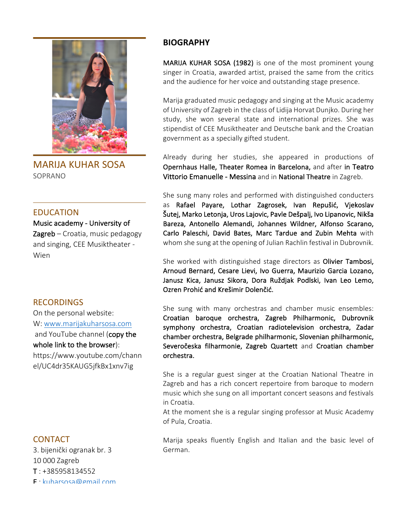

**MARIJA KUHAR SOSA** SOPRANO

### EDUCATION

Music academy - University of  $Z$ agreb – Croatia, music pedagogy and singing, CEE Musiktheater -Wien

## **RECORDINGS**

On the personal website: W: www.marijakuharsosa.com and YouTube channel (copy the whole link to the browser): https://www.youtube.com/chann el/UC4dr35KAUG5jfkBx1xnv7ig

# **BIOGRAPHY**

MARIJA KUHAR SOSA (1982) is one of the most prominent young singer in Croatia, awarded artist, praised the same from the critics and the audience for her voice and outstanding stage presence.

Marija graduated music pedagogy and singing at the Music academy of University of Zagreb in the class of Lidija Horvat Dunjko. During her study, she won several state and international prizes. She was stipendist of CEE Musiktheater and Deutsche bank and the Croatian government as a specially gifted student.

Already during her studies, she appeared in productions of Opernhaus Halle, Theater Romea in Barcelona, and after in Teatro Vittorio Emanuelle - Messina and in National Theatre in Zagreb.

She sung many roles and performed with distinguished conducters as Rafael Payare, Lothar Zagrosek, Ivan Repušić, Vjekoslav Šutej, Marko Letonja, Uros Lajovic, Pavle Dešpalj, Ivo Lipanovic, Nikša Bareza, Antonello Alemandi, Johannes Wildner, Alfonso Scarano, Carlo Paleschi, David Bates, Marc Tardue and Zubin Mehta with whom she sung at the opening of Julian Rachlin festival in Dubrovnik.

She worked with distinguished stage directors as Olivier Tambosi, Arnoud Bernard, Cesare Lievi, Ivo Guerra, Maurizio Garcia Lozano, Janusz Kica, Janusz Sikora, Dora Ruždjak Podlski, Ivan Leo Lemo, Ozren Prohić and Krešimir Dolenčić.

She sung with many orchestras and chamber music ensembles: Croatian baroque orchestra, Zagreb Philharmonic, Dubrovnik symphony orchestra, Croatian radiotelevision orchestra, Zadar chamber orchestra, Belgrade philharmonic, Slovenian philharmonic, Severočeska filharmonie, Zagreb Quartett and Croatian chamber orchestra. 

She is a regular guest singer at the Croatian National Theatre in Zagreb and has a rich concert repertoire from baroque to modern music which she sung on all important concert seasons and festivals in Croatia.

At the moment she is a regular singing professor at Music Academy of Pula, Croatia.

# **CONTACT**

3. bijenički ogranak br. 3 10 000 Zagreb

 $T: +385958134552$ 

 $F \cdot k$ uharsosa@gmail.com

Marija speaks fluently English and Italian and the basic level of German.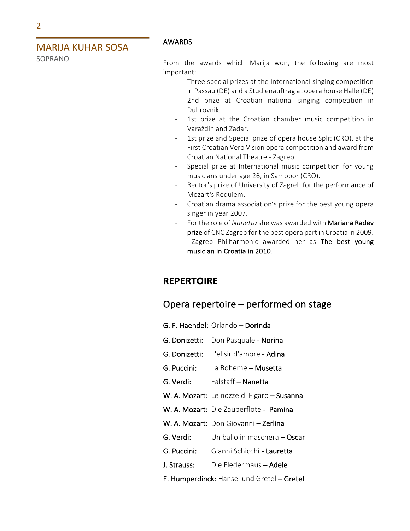SOPRANO

### AWARDS

From the awards which Marija won, the following are most important:

- Three special prizes at the International singing competition in Passau (DE) and a Studienauftrag at opera house Halle (DE)
- 2nd prize at Croatian national singing competition in Dubrovnik.
- 1st prize at the Croatian chamber music competition in Varaždin and Zadar.
- 1st prize and Special prize of opera house Split (CRO), at the First Croatian Vero Vision opera competition and award from Croatian National Theatre - Zagreb.
- Special prize at International music competition for young musicians under age 26, in Samobor (CRO).
- Rector's prize of University of Zagreb for the performance of Mozart's Requiem.
- Croatian drama association's prize for the best young opera singer in year 2007.
- For the role of *Nanetta* she was awarded with **Mariana Radev** prize of CNC Zagreb for the best opera part in Croatia in 2009.
- Zagreb Philharmonic awarded her as The best young musician in Croatia in 2010.

# **REPERTOIRE**

# Opera repertoire  $-$  performed on stage

- G. F. Haendel: Orlando Dorinda
- G. Donizetti: Don Pasquale Norina
- G. Donizetti: L'elisir d'amore Adina
- G. Puccini: La Boheme Musetta
- G. Verdi: Falstaff Nanetta
- W. A. Mozart: Le nozze di Figaro Susanna
- W. A. Mozart: Die Zauberflote Pamina
- W. A. Mozart: Don Giovanni Zerlina
- G. Verdi: Un ballo in maschera Oscar
- G. Puccini: Gianni Schicchi Lauretta
- J. Strauss: Die Fledermaus Adele
- E. Humperdinck: Hansel und Gretel Gretel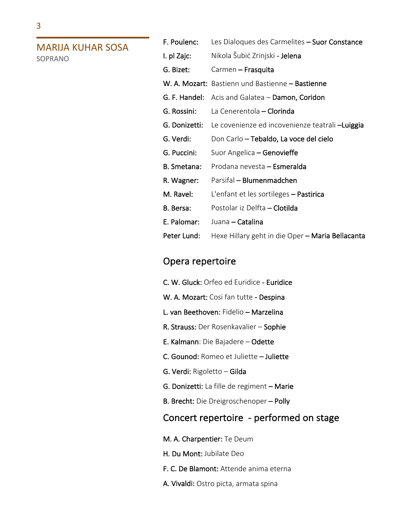3

## **MARIJA KUHAR SOSA** SOPRANO

F. Poulenc: Les Dialoques des Carmelites - Suor Constance I. pl Zajc: Nikola Šubić Zrinjski - Jelena G. Bizet: Carmen - Frasquita W. A. Mozart: Bastienn und Bastienne - Bastienne G. F. Handel: Acis and Galatea – Damon, Coridon G. Rossini: La Cenerentola - Clorinda G. Donizetti: Le covenienze ed incovenienze teatrali-Luiggia G. Verdi: Don Carlo – Tebaldo, La voce del cielo G. Puccini: Suor Angelica – Genovieffe B. Smetana: Prodana nevesta - Esmeralda R. Wagner: Parsifal – Blumenmadchen M. Ravel: L'enfant et les sortileges – Pastirica B. Bersa: Postolar iz Delfta – Clotilda E. Palomar: Juana – Catalina Peter Lund: Hexe Hillary geht in die Oper - Maria Bellacanta

# Opera repertoire

- C. W. Gluck: Orfeo ed Euridice Euridice
- W. A. Mozart: Cosi fan tutte Despina
- L. van Beethoven: Fidelio Marzelina
- R. Strauss: Der Rosenkavalier Sophie
- E. Kalmann: Die Bajadere Odette
- C. Gounod: Romeo et Juliette Juliette
- G. Verdi: Rigoletto Gilda
- G. Donizetti: La fille de regiment Marie
- B. Brecht: Die Dreigroschenoper Polly

# Concert repertoire - performed on stage

- M. A. Charpentier: Te Deum
- H. Du Mont: Jubilate Deo
- F. C. De Blamont: Attende anima eterna
- A. Vivaldi: Ostro picta, armata spina